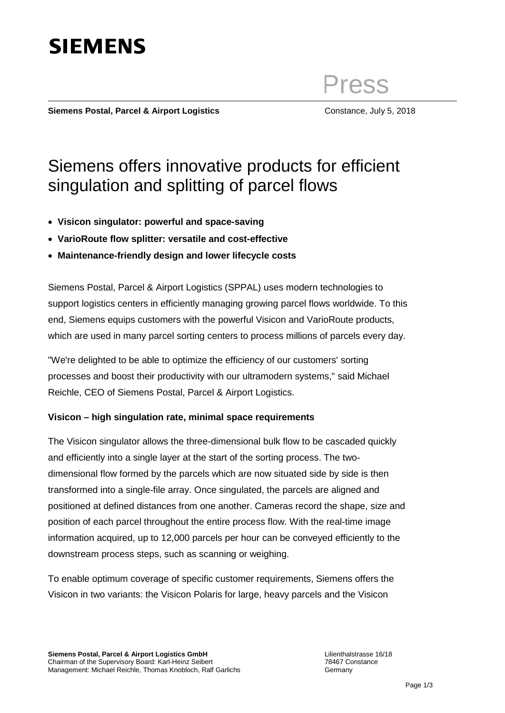

Press

**Siemens Postal, Parcel & Airport Logistics Constance, July 5, 2018** 

## Siemens offers innovative products for efficient singulation and splitting of parcel flows

- **Visicon singulator: powerful and space-saving**
- **VarioRoute flow splitter: versatile and cost-effective**
- **Maintenance-friendly design and lower lifecycle costs**

Siemens Postal, Parcel & Airport Logistics (SPPAL) uses modern technologies to support logistics centers in efficiently managing growing parcel flows worldwide. To this end, Siemens equips customers with the powerful Visicon and VarioRoute products, which are used in many parcel sorting centers to process millions of parcels every day.

"We're delighted to be able to optimize the efficiency of our customers' sorting processes and boost their productivity with our ultramodern systems," said Michael Reichle, CEO of Siemens Postal, Parcel & Airport Logistics.

## **Visicon – high singulation rate, minimal space requirements**

The Visicon singulator allows the three-dimensional bulk flow to be cascaded quickly and efficiently into a single layer at the start of the sorting process. The twodimensional flow formed by the parcels which are now situated side by side is then transformed into a single-file array. Once singulated, the parcels are aligned and positioned at defined distances from one another. Cameras record the shape, size and position of each parcel throughout the entire process flow. With the real-time image information acquired, up to 12,000 parcels per hour can be conveyed efficiently to the downstream process steps, such as scanning or weighing.

To enable optimum coverage of specific customer requirements, Siemens offers the Visicon in two variants: the Visicon Polaris for large, heavy parcels and the Visicon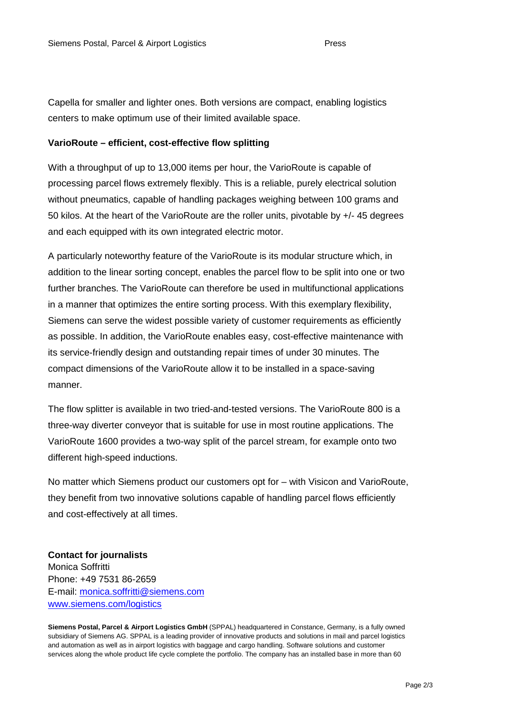Capella for smaller and lighter ones. Both versions are compact, enabling logistics centers to make optimum use of their limited available space.

## **VarioRoute – efficient, cost-effective flow splitting**

With a throughput of up to 13,000 items per hour, the VarioRoute is capable of processing parcel flows extremely flexibly. This is a reliable, purely electrical solution without pneumatics, capable of handling packages weighing between 100 grams and 50 kilos. At the heart of the VarioRoute are the roller units, pivotable by +/- 45 degrees and each equipped with its own integrated electric motor.

A particularly noteworthy feature of the VarioRoute is its modular structure which, in addition to the linear sorting concept, enables the parcel flow to be split into one or two further branches. The VarioRoute can therefore be used in multifunctional applications in a manner that optimizes the entire sorting process. With this exemplary flexibility, Siemens can serve the widest possible variety of customer requirements as efficiently as possible. In addition, the VarioRoute enables easy, cost-effective maintenance with its service-friendly design and outstanding repair times of under 30 minutes. The compact dimensions of the VarioRoute allow it to be installed in a space-saving manner.

The flow splitter is available in two tried-and-tested versions. The VarioRoute 800 is a three-way diverter conveyor that is suitable for use in most routine applications. The VarioRoute 1600 provides a two-way split of the parcel stream, for example onto two different high-speed inductions.

No matter which Siemens product our customers opt for – with Visicon and VarioRoute, they benefit from two innovative solutions capable of handling parcel flows efficiently and cost-effectively at all times.

**Contact for journalists** Monica Soffritti Phone: +49 7531 86-2659 E-mail: [monica.soffritti@siemens.com](mailto:monica.soffritti@siemens.com) [www.siemens.com/logistics](http://www.siemens.com/logistics)

**Siemens Postal, Parcel & Airport Logistics GmbH** (SPPAL) headquartered in Constance, Germany, is a fully owned subsidiary of Siemens AG. SPPAL is a leading provider of innovative products and solutions in mail and parcel logistics and automation as well as in airport logistics with baggage and cargo handling. Software solutions and customer services along the whole product life cycle complete the portfolio. The company has an installed base in more than 60